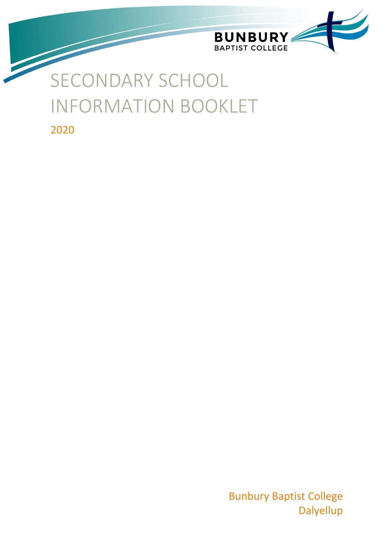

# SECONDARY SCHOOL INFORMATION BOOKLET

2020

Bunbury Baptist College **Dalyellup**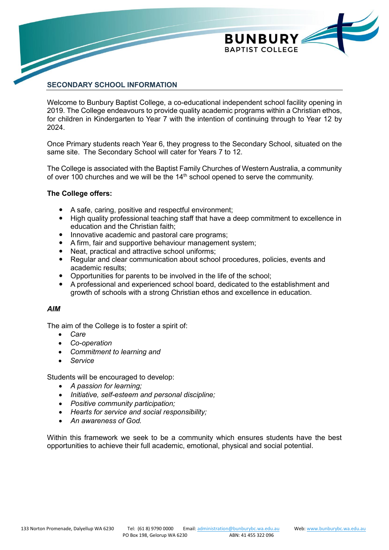

# **SECONDARY SCHOOL INFORMATION**

Welcome to Bunbury Baptist College, a co-educational independent school facility opening in 2019. The College endeavours to provide quality academic programs within a Christian ethos, for children in Kindergarten to Year 7 with the intention of continuing through to Year 12 by 2024.

Once Primary students reach Year 6, they progress to the Secondary School, situated on the same site. The Secondary School will cater for Years 7 to 12.

The College is associated with the Baptist Family Churches of Western Australia, a community of over 100 churches and we will be the  $14<sup>th</sup>$  school opened to serve the community.

## **The College offers:**

- A safe, caring, positive and respectful environment;
- High quality professional teaching staff that have a deep commitment to excellence in education and the Christian faith;
- Innovative academic and pastoral care programs:
- A firm, fair and supportive behaviour management system;
- Neat, practical and attractive school uniforms;
- Regular and clear communication about school procedures, policies, events and academic results;
- Opportunities for parents to be involved in the life of the school;
- A professional and experienced school board, dedicated to the establishment and growth of schools with a strong Christian ethos and excellence in education.

#### *AIM*

The aim of the College is to foster a spirit of:

- *Care*
- *Co-operation*
- *Commitment to learning and*
- *Service*

Students will be encouraged to develop:

- *A passion for learning;*
- *Initiative, self-esteem and personal discipline;*
- *Positive community participation;*
- *Hearts for service and social responsibility;*
- *An awareness of God.*

Within this framework we seek to be a community which ensures students have the best opportunities to achieve their full academic, emotional, physical and social potential.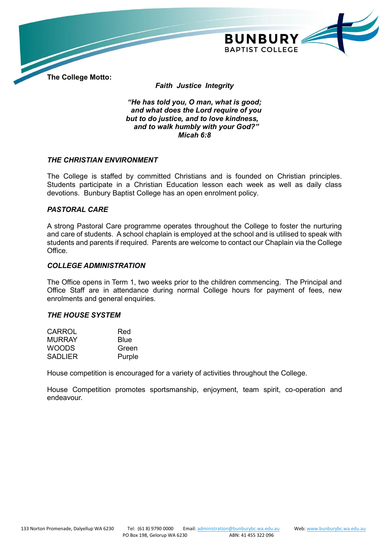

**The College Motto:**

*Faith Justice Integrity*

*"He has told you, O man, what is good; and what does the Lord require of you but to do justice, and to love kindness, and to walk humbly with your God?" Micah 6:8*

## *THE CHRISTIAN ENVIRONMENT*

The College is staffed by committed Christians and is founded on Christian principles. Students participate in a Christian Education lesson each week as well as daily class devotions. Bunbury Baptist College has an open enrolment policy.

#### *PASTORAL CARE*

A strong Pastoral Care programme operates throughout the College to foster the nurturing and care of students. A school chaplain is employed at the school and is utilised to speak with students and parents if required. Parents are welcome to contact our Chaplain via the College Office.

## *COLLEGE ADMINISTRATION*

The Office opens in Term 1, two weeks prior to the children commencing. The Principal and Office Staff are in attendance during normal College hours for payment of fees, new enrolments and general enquiries.

#### *THE HOUSE SYSTEM*

| CARROL         | Red    |
|----------------|--------|
| <b>MURRAY</b>  | Blue   |
| <b>WOODS</b>   | Green  |
| <b>SADLIER</b> | Purple |

House competition is encouraged for a variety of activities throughout the College.

House Competition promotes sportsmanship, enjoyment, team spirit, co-operation and endeavour.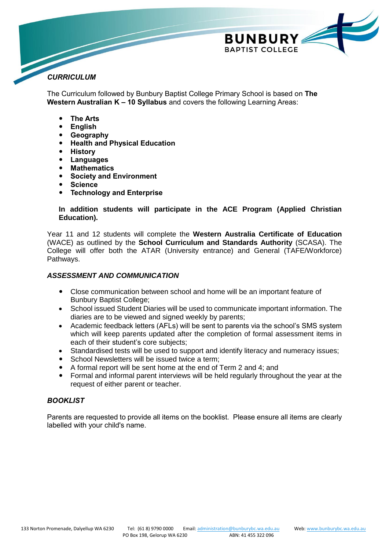

# *CURRICULUM*

The Curriculum followed by Bunbury Baptist College Primary School is based on **The Western Australian K – 10 Syllabus** and covers the following Learning Areas:

- **The Arts**
- **English**
- **Geography**
- **Health and Physical Education**
- **History**
- **Languages**
- **Mathematics**
- **Society and Environment**
- **Science**
- **Technology and Enterprise**

## **In addition students will participate in the ACE Program (Applied Christian Education).**

Year 11 and 12 students will complete the **Western Australia Certificate of Education** (WACE) as outlined by the **School Curriculum and Standards Authority** (SCASA). The College will offer both the ATAR (University entrance) and General (TAFE/Workforce) Pathways.

# *ASSESSMENT AND COMMUNICATION*

- Close communication between school and home will be an important feature of Bunbury Baptist College;
- School issued Student Diaries will be used to communicate important information. The diaries are to be viewed and signed weekly by parents;
- Academic feedback letters (AFLs) will be sent to parents via the school's SMS system which will keep parents updated after the completion of formal assessment items in each of their student's core subjects;
- Standardised tests will be used to support and identify literacy and numeracy issues;
- School Newsletters will be issued twice a term;
- A formal report will be sent home at the end of Term 2 and 4; and
- Formal and informal parent interviews will be held regularly throughout the year at the request of either parent or teacher.

# *BOOKLIST*

Parents are requested to provide all items on the booklist. Please ensure all items are clearly labelled with your child's name.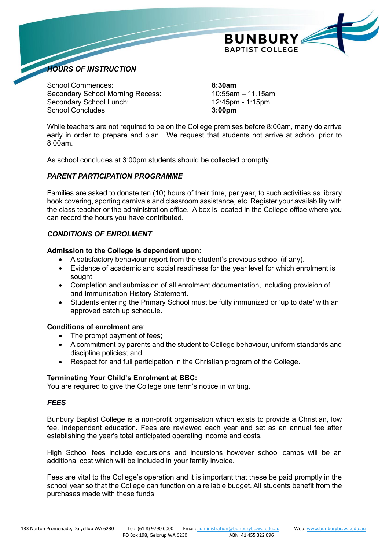

School Commences: **8:30am** Secondary School Morning Recess: 10:55am – 11.15am Secondary School Lunch: 12:45pm - 1:15pm School Concludes: **3:00pm**

*HOURS OF INSTRUCTION*

While teachers are not required to be on the College premises before 8:00am, many do arrive early in order to prepare and plan. We request that students not arrive at school prior to 8:00am.

As school concludes at 3:00pm students should be collected promptly.

# *PARENT PARTICIPATION PROGRAMME*

Families are asked to donate ten (10) hours of their time, per year, to such activities as library book covering, sporting carnivals and classroom assistance, etc. Register your availability with the class teacher or the administration office. A box is located in the College office where you can record the hours you have contributed.

# *CONDITIONS OF ENROLMENT*

# **Admission to the College is dependent upon:**

- A satisfactory behaviour report from the student's previous school (if any).
- Evidence of academic and social readiness for the year level for which enrolment is sought.
- Completion and submission of all enrolment documentation, including provision of and Immunisation History Statement.
- Students entering the Primary School must be fully immunized or 'up to date' with an approved catch up schedule.

# **Conditions of enrolment are**:

- The prompt payment of fees;
- A commitment by parents and the student to College behaviour, uniform standards and discipline policies; and
- Respect for and full participation in the Christian program of the College.

#### **Terminating Your Child's Enrolment at BBC:**

You are required to give the College one term's notice in writing.

# *FEES*

Bunbury Baptist College is a non-profit organisation which exists to provide a Christian, low fee, independent education. Fees are reviewed each year and set as an annual fee after establishing the year's total anticipated operating income and costs.

High School fees include excursions and incursions however school camps will be an additional cost which will be included in your family invoice.

Fees are vital to the College's operation and it is important that these be paid promptly in the school year so that the College can function on a reliable budget. All students benefit from the purchases made with these funds.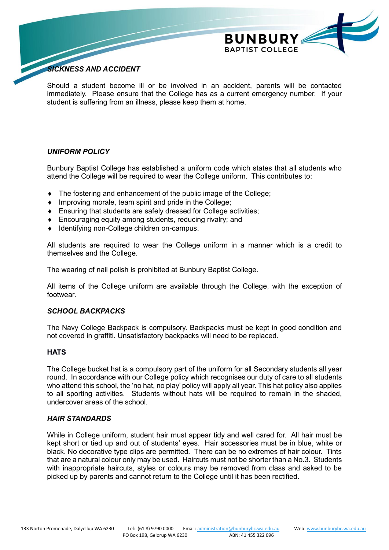

# *SICKNESS AND ACCIDENT*

Should a student become ill or be involved in an accident, parents will be contacted immediately. Please ensure that the College has as a current emergency number. If your student is suffering from an illness, please keep them at home.

## *UNIFORM POLICY*

Bunbury Baptist College has established a uniform code which states that all students who attend the College will be required to wear the College uniform. This contributes to:

- The fostering and enhancement of the public image of the College;
- $\bullet$  Improving morale, team spirit and pride in the College;
- Ensuring that students are safely dressed for College activities;
- Encouraging equity among students, reducing rivalry; and
- ◆ Identifying non-College children on-campus.

All students are required to wear the College uniform in a manner which is a credit to themselves and the College.

The wearing of nail polish is prohibited at Bunbury Baptist College.

All items of the College uniform are available through the College, with the exception of footwear.

### *SCHOOL BACKPACKS*

The Navy College Backpack is compulsory. Backpacks must be kept in good condition and not covered in graffiti. Unsatisfactory backpacks will need to be replaced.

#### **HATS**

The College bucket hat is a compulsory part of the uniform for all Secondary students all year round. In accordance with our College policy which recognises our duty of care to all students who attend this school, the 'no hat, no play' policy will apply all year. This hat policy also applies to all sporting activities. Students without hats will be required to remain in the shaded, undercover areas of the school.

#### *HAIR STANDARDS*

While in College uniform, student hair must appear tidy and well cared for. All hair must be kept short or tied up and out of students' eyes. Hair accessories must be in blue, white or black. No decorative type clips are permitted. There can be no extremes of hair colour. Tints that are a natural colour only may be used. Haircuts must not be shorter than a No.3. Students with inappropriate haircuts, styles or colours may be removed from class and asked to be picked up by parents and cannot return to the College until it has been rectified.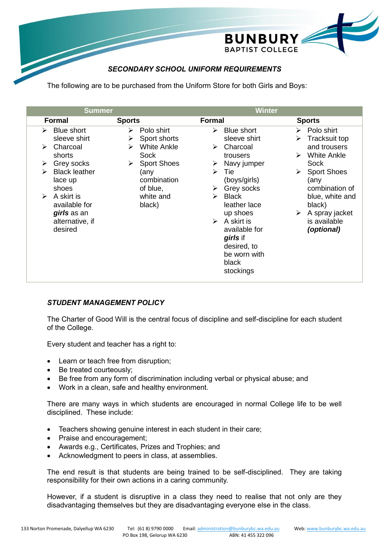

# *SECONDARY SCHOOL UNIFORM REQUIREMENTS*

The following are to be purchased from the Uniform Store for both Girls and Boys:

| <b>Formal</b><br><b>Sports</b><br><b>Formal</b><br><b>Sports</b>                                                                                                                                                                                                                                                                                                                                                                                                                                                                                                                                                                                                                                                                                                                                            |                                                                                                                                           |
|-------------------------------------------------------------------------------------------------------------------------------------------------------------------------------------------------------------------------------------------------------------------------------------------------------------------------------------------------------------------------------------------------------------------------------------------------------------------------------------------------------------------------------------------------------------------------------------------------------------------------------------------------------------------------------------------------------------------------------------------------------------------------------------------------------------|-------------------------------------------------------------------------------------------------------------------------------------------|
| Polo shirt<br>Polo shirt<br><b>Blue short</b><br>Blue short<br>➤<br>➤<br>⋗<br>sleeve shirt<br>Sport shorts<br>sleeve shirt<br>≻<br><b>White Ankle</b><br>Charcoal<br>Charcoal<br>➤<br>➤<br>➤<br>Sock<br>shorts<br>$\blacktriangleright$<br>trousers<br><b>Sport Shoes</b><br>Sock<br>Grey socks<br>Navy jumper<br>➤<br>➤<br>➤<br><b>Black leather</b><br>$\blacktriangleright$<br>Tie<br>(any<br>↘<br>➤<br>combination<br>(boys/girls)<br>lace up<br>(any<br>Grey socks<br>of blue,<br>shoes<br>➤<br>A skirt is<br>white and<br><b>Black</b><br>➤<br>↘<br>available for<br>leather lace<br>black)<br>black)<br>girls as an<br>up shoes<br>➤<br>A skirt is<br>alternative, if<br>$\triangleright$<br>desired<br>available for<br>(optional)<br>girls if<br>desired, to<br>be worn with<br>black<br>stockings | Tracksuit top<br>and trousers<br>White Ankle<br><b>Sport Shoes</b><br>combination of<br>blue, white and<br>A spray jacket<br>is available |

# *STUDENT MANAGEMENT POLICY*

The Charter of Good Will is the central focus of discipline and self-discipline for each student of the College.

Every student and teacher has a right to:

- Learn or teach free from disruption;
- Be treated courteously:
- Be free from any form of discrimination including verbal or physical abuse; and
- Work in a clean, safe and healthy environment.

There are many ways in which students are encouraged in normal College life to be well disciplined. These include:

- Teachers showing genuine interest in each student in their care;
- Praise and encouragement;
- Awards e.g., Certificates, Prizes and Trophies; and
- Acknowledgment to peers in class, at assemblies.

The end result is that students are being trained to be self-disciplined. They are taking responsibility for their own actions in a caring community.

However, if a student is disruptive in a class they need to realise that not only are they disadvantaging themselves but they are disadvantaging everyone else in the class.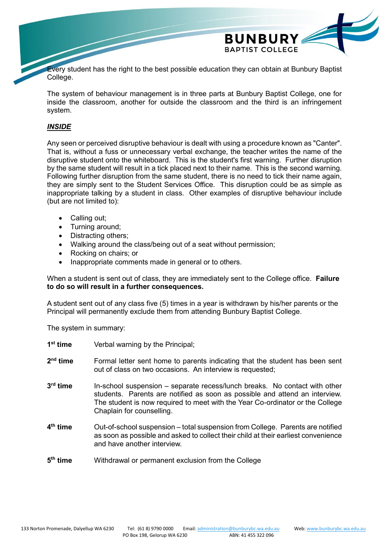

Every student has the right to the best possible education they can obtain at Bunbury Baptist College.

The system of behaviour management is in three parts at Bunbury Baptist College, one for inside the classroom, another for outside the classroom and the third is an infringement system.

# *INSIDE*

Any seen or perceived disruptive behaviour is dealt with using a procedure known as "Canter". That is, without a fuss or unnecessary verbal exchange, the teacher writes the name of the disruptive student onto the whiteboard. This is the student's first warning. Further disruption by the same student will result in a tick placed next to their name. This is the second warning. Following further disruption from the same student, there is no need to tick their name again, they are simply sent to the Student Services Office. This disruption could be as simple as inappropriate talking by a student in class. Other examples of disruptive behaviour include (but are not limited to):

- Calling out;
- Turning around;
- Distracting others:
- Walking around the class/being out of a seat without permission;
- Rocking on chairs; or
- Inappropriate comments made in general or to others.

When a student is sent out of class, they are immediately sent to the College office. **Failure to do so will result in a further consequences.**

A student sent out of any class five (5) times in a year is withdrawn by his/her parents or the Principal will permanently exclude them from attending Bunbury Baptist College.

The system in summary:

| 1 <sup>st</sup> time | Verbal warning by the Principal;                                                                                                                                                                                                                                        |
|----------------------|-------------------------------------------------------------------------------------------------------------------------------------------------------------------------------------------------------------------------------------------------------------------------|
| $2nd$ time           | Formal letter sent home to parents indicating that the student has been sent<br>out of class on two occasions. An interview is requested;                                                                                                                               |
| $3rd$ time           | In-school suspension – separate recess/lunch breaks. No contact with other<br>students. Parents are notified as soon as possible and attend an interview.<br>The student is now required to meet with the Year Co-ordinator or the College<br>Chaplain for counselling. |
| $4th$ time           | Out-of-school suspension – total suspension from College. Parents are notified<br>as soon as possible and asked to collect their child at their earliest convenience<br>and have another interview.                                                                     |
| $5th$ time           | Withdrawal or permanent exclusion from the College                                                                                                                                                                                                                      |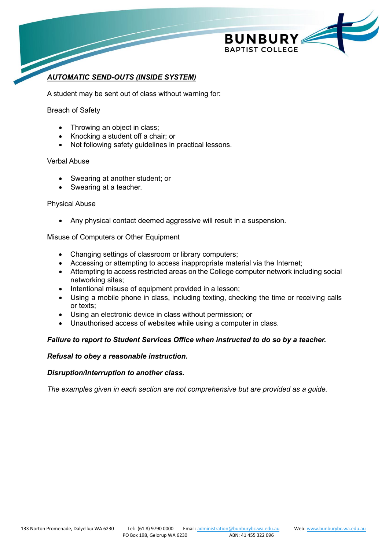

# *AUTOMATIC SEND-OUTS (INSIDE SYSTEM)*

A student may be sent out of class without warning for:

### Breach of Safety

- Throwing an object in class;
- Knocking a student off a chair; or
- Not following safety guidelines in practical lessons.

#### Verbal Abuse

- Swearing at another student; or
- Swearing at a teacher.

#### Physical Abuse

Any physical contact deemed aggressive will result in a suspension.

Misuse of Computers or Other Equipment

- Changing settings of classroom or library computers;
- Accessing or attempting to access inappropriate material via the Internet;
- Attempting to access restricted areas on the College computer network including social networking sites;
- Intentional misuse of equipment provided in a lesson;
- Using a mobile phone in class, including texting, checking the time or receiving calls or texts;
- Using an electronic device in class without permission; or
- Unauthorised access of websites while using a computer in class.

# *Failure to report to Student Services Office when instructed to do so by a teacher.*

#### *Refusal to obey a reasonable instruction.*

#### *Disruption/Interruption to another class.*

*The examples given in each section are not comprehensive but are provided as a guide.*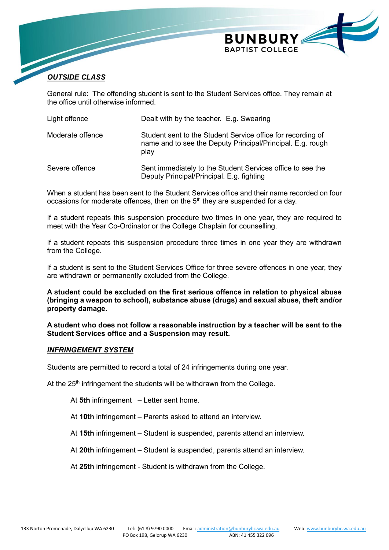

# *OUTSIDE CLASS*

General rule: The offending student is sent to the Student Services office. They remain at the office until otherwise informed.

| Light offence    | Dealt with by the teacher. E.g. Swearing                                                                                          |
|------------------|-----------------------------------------------------------------------------------------------------------------------------------|
| Moderate offence | Student sent to the Student Service office for recording of<br>name and to see the Deputy Principal/Principal. E.g. rough<br>play |
| Severe offence   | Sent immediately to the Student Services office to see the<br>Deputy Principal/Principal. E.g. fighting                           |

When a student has been sent to the Student Services office and their name recorded on four occasions for moderate offences, then on the  $5<sup>th</sup>$  they are suspended for a day.

If a student repeats this suspension procedure two times in one year, they are required to meet with the Year Co-Ordinator or the College Chaplain for counselling.

If a student repeats this suspension procedure three times in one year they are withdrawn from the College.

If a student is sent to the Student Services Office for three severe offences in one year, they are withdrawn or permanently excluded from the College.

**A student could be excluded on the first serious offence in relation to physical abuse (bringing a weapon to school), substance abuse (drugs) and sexual abuse, theft and/or property damage.**

**A student who does not follow a reasonable instruction by a teacher will be sent to the Student Services office and a Suspension may result.**

#### *INFRINGEMENT SYSTEM*

Students are permitted to record a total of 24 infringements during one year.

At the 25<sup>th</sup> infringement the students will be withdrawn from the College.

At **5th** infringement – Letter sent home.

- At **10th** infringement Parents asked to attend an interview.
- At **15th** infringement Student is suspended, parents attend an interview.
- At **20th** infringement Student is suspended, parents attend an interview.
- At **25th** infringement Student is withdrawn from the College.